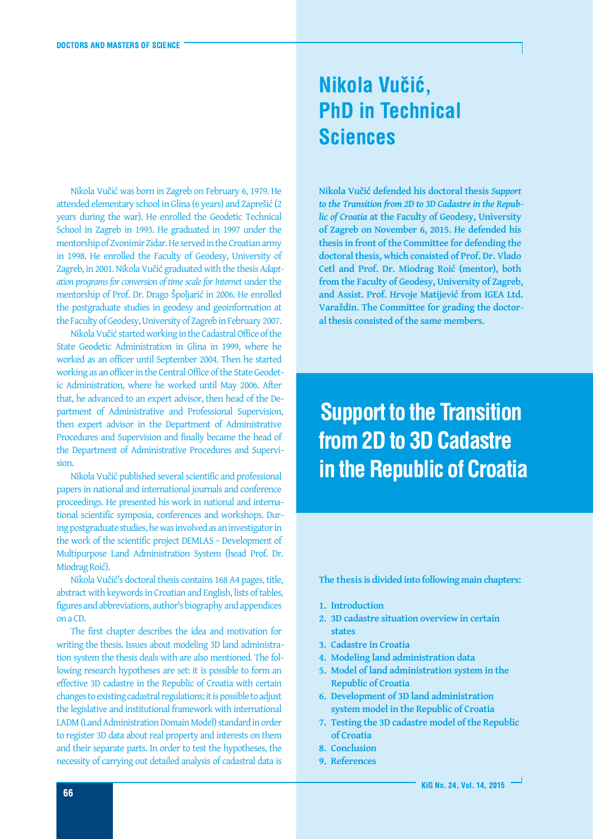Nikola Vučić was born in Zagreb on February 6, 1979. He attended elementary school in Glina (6 years) and Zaprešić (2 years during the war). He enrolled the Geodetic Technical School in Zagreb in 1993. He graduated in 1997 under the mentorship of Zvonimir Zidar.He servedin the Croatianarmy in 1998. He enrolled the Faculty of Geodesy, University of Zagreb, in 2001. Nikola Vučić graduated with the thesis *Adaptation programs for conversion of time scale for Internet* under the mentorship of Prof. Dr. Drago Špoljarić in 2006. He enrolled the postgraduate studies in geodesy and geoinformation at the Faculty of Geodesy, University of Zagreb in February 2007.

Nikola Vučić started working in the Cadastral Office of the State Geodetic Administration in Glina in 1999, where he worked as an officer until September 2004. Then he started working as an officer in the Central Office of the State Geodetic Administration, where he worked until May 2006. After that, he advanced to an expert advisor, then head of the Department of Administrative and Professional Supervision, then expert advisor in the Department of Administrative Procedures and Supervision and finally became the head of the Department of Administrative Procedures and Supervision.

Nikola Vučić published several scientific and professional papers in national and international journals and conference proceedings. He presented his work in national and international scientific symposia, conferences and workshops. During postgraduate studies, he was involved as an investigator in the work of the scientific project DEMLAS − Development of Multipurpose Land Administration System (head Prof. Dr. Miodrag Roić).

Nikola Vučić's doctoral thesis contains 168 A4 pages, title, abstract with keywords in Croatian and English, lists of tables, figures and abbreviations, author's biography and appendices on a CD.

The first chapter describes the idea and motivation for writing the thesis. Issues about modeling 3D land administration system the thesis deals with are also mentioned. The following research hypotheses are set: it is possible to form an effective 3D cadastre in the Republic of Croatia with certain changes to existing cadastral regulations; it is possible to adjust the legislative and institutional framework with international LADM (Land Administration Domain Model) standardin order to register 3D data about real property and interests on them and their separate parts. In order to test the hypotheses, the necessity of carrying out detailed analysis of cadastral data is

#### Nikola Vučić, **PhD in Technical Sciences**

**Nikola Vučić defended his doctoral thesis** *Support to the Transition from 2D to 3D Cadastre in the Republic of Croatia* **at the Faculty of Geodesy, University of Zagreb on November 6, 2015. He defended his thesis in front of the Committee for defending the doctoral thesis, which consisted of Prof. Dr. Vlado Cetl and Prof. Dr. Miodrag Roić (mentor), both from the Faculty of Geodesy, University of Zagreb, and Assist. Prof. Hrvoje Matijević from IGEA Ltd. Varaždin. The Committee for grading the doctoral thesis consisted of the same members.**

**Support to the Transition** from 2D to 3D Cadastre in the Republic of Croatia

**The thesis is divided into following main chapters:**

- **1. Introduction**
- **2. 3D cadastre situation overview in certain states**
- **3. Cadastre in Croatia**
- **4. Modeling land administration data**
- **5. Model of land administration system in the Republic of Croatia**
- **6. Development of 3D land administration system model in the Republic of Croatia**
- **7. Testing the 3D cadastre model of the Republic of Croatia**
- **8. Conclusion**
- **9. References**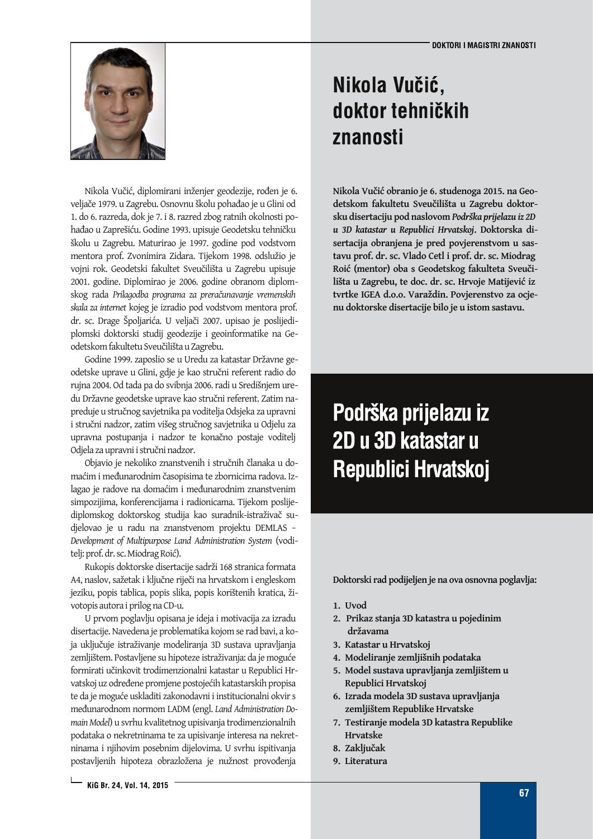

Nikola Vučić, diplomirani inženjer geodezije, rođen je 6. veljače 1979. u Zagrebu. Osnovnu školu pohađao je u Glini od 1. do 6. razreda, dok je 7. i 8. razred zbog ratnih okolnosti pohađao u Zaprešiću. Godine 1993. upisuje Geodetsku tehničku školu u Zagrebu. Maturirao je 1997. godine pod vodstvom mentora prof. Zvonimira Zidara. Tijekom 1998. odslužio je vojni rok. Geodetski fakultet Sveučilišta u Zagrebu upisuje 2001. godine. Diplomirao je 2006. godine obranom diplomskog rada *Prilagodba programa za preračunavanje vremenskih skala za internet* kojeg je izradio pod vodstvom mentora prof. dr. sc. Drage Špoljarića. U veljači 2007. upisao je poslijediplomski doktorski studij geodezije i geoinformatike na Geodetskom fakultetu Sveučilišta u Zagrebu.

Godine 1999. zaposlio se u Uredu za katastar Državne geodetske uprave u Glini, gdje je kao stručni referent radio do rujna 2004. Od tada pa do svibnja 2006. radi u Središnjem uredu Državne geodetske uprave kao stručni referent. Zatim napreduje u stručnog savjetnika pa voditelja Odsjeka za upravni i stručni nadzor, zatim višeg stručnog savjetnika u Odjelu za upravna postupanja i nadzor te konačno postaje voditelj Odjela za upravni i stručni nadzor.

Objavio je nekoliko znanstvenih i stručnih članaka u domaćim i međunarodnim časopisima te zbornicima radova. Izlagao je radove na domaćim i međunarodnim znanstvenim simpozijima, konferencijama i radionicama. Tijekom poslijediplomskog doktorskog studija kao suradnik-istraživač sudjelovao je u radu na znanstvenom projektu DEMLAS − *Development of Multipurpose Land Administration System* (voditelj: prof. dr. sc.Miodrag Roić).

Rukopis doktorske disertacije sadrži 168 stranica formata A4, naslov, sažetak i ključne riječi na hrvatskom i engleskom jeziku, popis tablica, popis slika, popis korištenih kratica, životopis autorai prilog na CD-u.

U prvom poglavlju opisana je ideja i motivacija za izradu disertacije. Navedena je problematika kojom se rad bavi, a koja uključuje istraživanje modeliranja 3D sustava upravljanja zemljištem. Postavljene su hipoteze istraživanja: da je moguće formirati učinkovit trodimenzionalni katastar u Republici Hrvatskoj uz određene promjene postojećih katastarskih propisa te da je moguće uskladiti zakonodavni i institucionalni okvir s međunarodnom normom LADM (engl. *Land Administration Domain Model*) u svrhu kvalitetnog upisivanja trodimenzionalnih podataka o nekretninama te za upisivanje interesa na nekretninama i njihovim posebnim dijelovima. U svrhu ispitivanja postavljenih hipoteza obrazložena je nužnost provođenja

#### Nikola Vučić, doktor tehničkih znanosti

**Nikola Vučić obranio je 6. studenoga 2015. na Geodetskom fakultetu Sveučilišta u Zagrebu doktorsku disertaciju pod naslovom** *Podrška prijelazu iz 2D u 3D katastar u Republici Hrvatskoj***. Doktorska disertacija obranjena je pred povjerenstvom u sastavu prof. dr. sc. Vlado Cetl i prof. dr. sc. Miodrag Roić (mentor) oba s Geodetskog fakulteta Sveučilišta u Zagrebu, te doc. dr. sc. Hrvoje Matijević iz tvrtke IGEA d.o.o. Varaždin. Povjerenstvo za ocjenu doktorske disertacije bilo je u istom sastavu.**

# Podrška prijelazu iz 2D u 3D katastar u Republici Hrvatskoj

**Doktorski rad podijeljen je na ova osnovna poglavlja:**

- **1. Uvod**
- **2. Prikaz stanja 3D katastra u pojedinim državama**
- **3. Katastar u Hrvatskoj**
- **4. Modeliranje zemljišnih podataka**
- **5. Model sustava upravljanja zemljištem u Republici Hrvatskoj**
- **6. Izrada modela 3D sustava upravljanja zemljištem Republike Hrvatske**
- **7. Testiranje modela 3D katastra Republike Hrvatske**
- **8. Zaključak**
- **9. Literatura**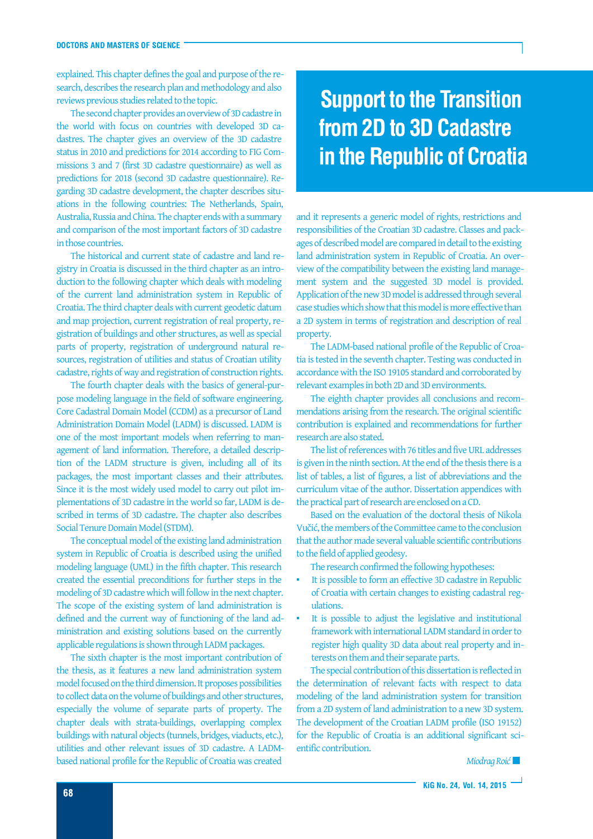explained. This chapter defines the goal and purpose of the research, describes the research plan and methodology and also reviews previous studies related to the topic.

The second chapter provides an overview of 3D cadastre in the world with focus on countries with developed 3D cadastres. The chapter gives an overview of the 3D cadastre status in 2010 and predictions for 2014 according to FIG Commissions 3 and 7 (first 3D cadastre questionnaire) as well as predictions for 2018 (second 3D cadastre questionnaire). Regarding 3D cadastre development, the chapter describes situations in the following countries: The Netherlands, Spain, Australia, Russia and China. The chapter ends with a summary and comparison of the most important factors of 3D cadastre in those countries.

The historical and current state of cadastre and land registry in Croatia is discussed in the third chapter as an introduction to the following chapter which deals with modeling of the current land administration system in Republic of Croatia. The third chapter deals with current geodetic datum and map projection, current registration of real property, registration of buildings and other structures, as well as special parts of property, registration of underground natural resources, registration of utilities and status of Croatian utility cadastre, rights of way and registration of construction rights.

The fourth chapter deals with the basics of general-purpose modeling language in the field of software engineering. Core Cadastral Domain Model (CCDM) as a precursor of Land Administration Domain Model (LADM) is discussed. LADM is one of the most important models when referring to management of land information. Therefore, a detailed description of the LADM structure is given, including all of its packages, the most important classes and their attributes. Since it is the most widely used model to carry out pilot implementations of 3D cadastre in the world so far, LADM is described in terms of 3D cadastre. The chapter also describes Social Tenure Domain Model (STDM).

The conceptual model of the existing land administration system in Republic of Croatia is described using the unified modeling language (UML) in the fifth chapter. This research created the essential preconditions for further steps in the modeling of 3D cadastre which will follow in the next chapter. The scope of the existing system of land administration is defined and the current way of functioning of the land administration and existing solutions based on the currently applicable regulations is shown through LADM packages.

The sixth chapter is the most important contribution of the thesis, as it features a new land administration system model focused on the third dimension.It proposes possibilities to collect data on the volume of buildings and other structures, especially the volume of separate parts of property. The chapter deals with strata-buildings, overlapping complex buildings with natural objects (tunnels, bridges, viaducts, etc.), utilities and other relevant issues of 3D cadastre. A LADMbased national profile for the Republic of Croatia was created

### **Support to the Transition** from 2D to 3D Cadastre in the Republic of Croatia

and it represents a generic model of rights, restrictions and responsibilities of the Croatian 3D cadastre. Classes and packages of described model are compared in detail to the existing land administration system in Republic of Croatia. An overview of the compatibility between the existing land management system and the suggested 3D model is provided. Application of the new 3D model is addressed through several case studies which show that this model is more effective than a 2D system in terms of registration and description of real property.

The LADM-based national profile of the Republic of Croatia is tested in the seventh chapter. Testing was conducted in accordance with the ISO 19105 standard and corroborated by relevant examplesin both 2D and 3D environments.

The eighth chapter provides all conclusions and recommendations arising from the research. The original scientific contribution is explained and recommendations for further research are also stated.

The list of references with 76 titles and five URL addresses is given in the ninth section. At the end of the thesis there is a list of tables, a list of figures, a list of abbreviations and the curriculum vitae of the author. Dissertation appendices with the practical part of research are enclosed on a CD.

Based on the evaluation of the doctoral thesis of Nikola Vučić, themembers of the Committee came to the conclusion that the author made several valuable scientific contributions to the field of applied geodesy.

The research confirmed the following hypotheses:

- It is possible to form an effective 3D cadastre in Republic of Croatia with certain changes to existing cadastral regulations.
- It is possible to adjust the legislative and institutional framework with international LADM standard in order to register high quality 3D data about real property and interests on them and their separate parts.

The special contribution of this dissertation is reflected in the determination of relevant facts with respect to data modeling of the land administration system for transition from a 2D system of land administration to a new 3D system. The development of the Croatian LADM profile (ISO 19152) for the Republic of Croatia is an additional significant scientific contribution.